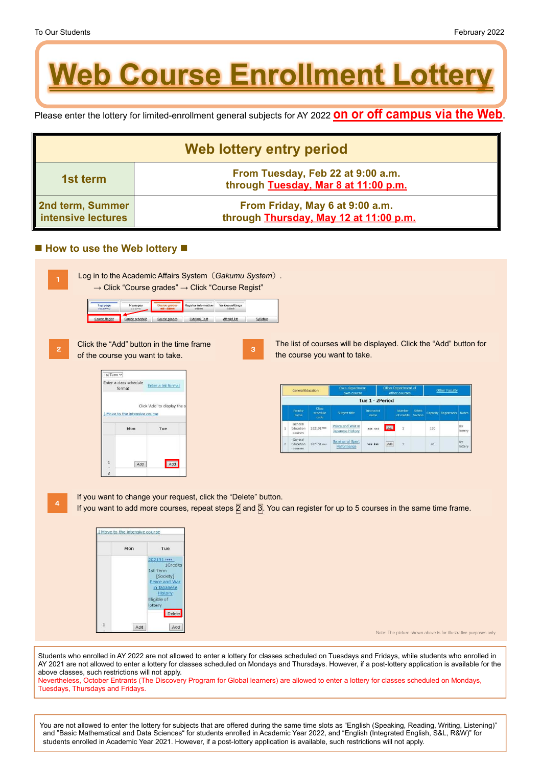Please enter the lottery for limited-enrollment general subjects for AY 2022 **on or off campus via the Web**.

| <b>Web lottery entry period</b>        |                                                                           |  |  |  |
|----------------------------------------|---------------------------------------------------------------------------|--|--|--|
| 1st term                               | From Tuesday, Feb 22 at 9:00 a.m.<br>through Tuesday, Mar 8 at 11:00 p.m. |  |  |  |
| 2nd term, Summer<br>intensive lectures | From Friday, May 6 at 9:00 a.m.<br>through Thursday, May 12 at 11:00 p.m. |  |  |  |

## ■ How to use the Web lottery ■

Students who enrolled in AY 2022 are not allowed to enter a lottery for classes scheduled on Tuesdays and Fridays, while students who enrolled in AY 2021 are not allowed to enter a lottery for classes scheduled on Mondays and Thursdays. However, if a post-lottery application is available for the above classes, such restrictions will not apply. Nevertheless, October Entrants (The Discovery Program for Global learners) are allowed to enter a lottery for classes scheduled on Mondays, Tuesdays, Thursdays and Fridays.

You are not allowed to enter the lottery for subjects that are offered during the same time slots as "English (Speaking, Reading, Writing, Listening)" and "Basic Mathematical and Data Sciences" for students enrolled in Academic Year 2022, and "English (Integrated English, S&L, R&W)" for students enrolled in Academic Year 2021. However, if a post-lottery application is available, such restrictions will not apply.

Note: The picture shown above is for illustrative purposes only.

| Log in to the Academic Affairs System (Gakumu System).                  |  |
|-------------------------------------------------------------------------|--|
| $\rightarrow$ Click "Course grades" $\rightarrow$ Click "Course Regist" |  |

| Top page      | Messages        | Course grades        | <b>Register information</b> | Various settings   |          |
|---------------|-----------------|----------------------|-----------------------------|--------------------|----------|
| トップページ        | メッセージ           | <sup>图45</sup> ·或接线性 | 学能博性                        | 品质标准               |          |
| Course Regist | Course schedule | Course grades        | <b>External Test</b>        | <b>Attend list</b> | Syllabus |

1

Click the "Add" button in the time frame of the course you want to take.





The list of courses will be displayed. Click the "Add" button for the course you want to take.

| General Education |                                  | Own department<br>own course     |                                      | Other Department of<br>other courses     |                                 |                      | Other Faculty     |              |             |              |
|-------------------|----------------------------------|----------------------------------|--------------------------------------|------------------------------------------|---------------------------------|----------------------|-------------------|--------------|-------------|--------------|
|                   | Tue 1 · 2Period                  |                                  |                                      |                                          |                                 |                      |                   |              |             |              |
|                   | Faculty<br>name                  | <b>Class</b><br>schedule<br>code | Subject title                        | Instructor<br>name                       |                                 | Number<br>of credits | Select<br>Section | Capacity     | Registrants | <b>Note</b>  |
| 1                 | General<br>Education<br>courses  | 202191****                       | Peace and War in<br>Japanese History | <b>xxx xxx</b><br>THE REPORT OF PROPERTY | Add                             | $\bar{1}$            |                   | 150<br>2000. |             | By<br>lotter |
| $\overline{2}$    | General<br>Education<br>courses. | 202191****                       | Seminar of Sport<br>Performance      | Wells of the F<br><b>XXX XXX</b>         | Add<br><b><i>CONTRACTOR</i></b> | $\mathbf{1}$         |                   | $\bf{40}$    |             | By<br>lotter |



3

If you want to change your request, click the "Delete" button.

If you want to add more courses, repeat steps  $\boxed{2}$  and  $\boxed{3}$ . You can register for up to 5 courses in the same time frame.

| Mon | Tue                 |
|-----|---------------------|
|     | 202191 ****         |
|     | 1Credits            |
|     | 1st Term<br>Society |



4

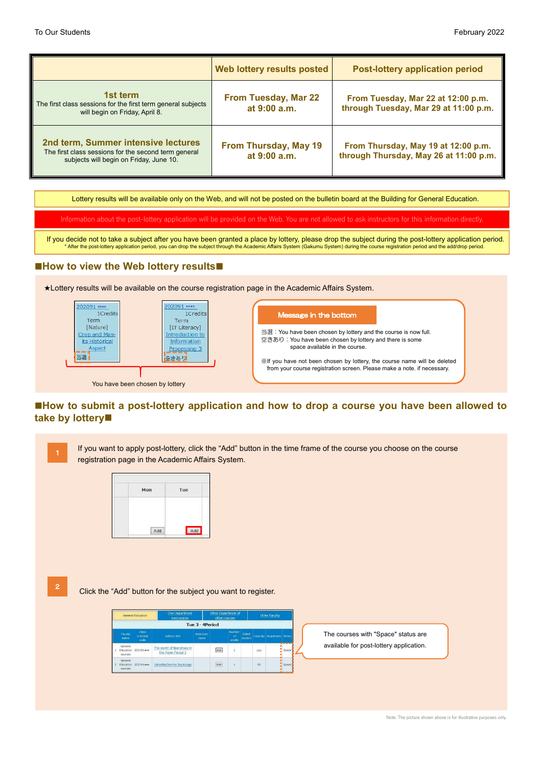## **How to view the Web lottery results**

## **How to submit a post-lottery application and how to drop a course you have been allowed to take by lottery**

|                                                                                                                                        | Web lottery results posted                   | <b>Post-lottery application period</b>                                        |
|----------------------------------------------------------------------------------------------------------------------------------------|----------------------------------------------|-------------------------------------------------------------------------------|
| 1st term<br>The first class sessions for the first term general subjects<br>will begin on Friday, April 8.                             | <b>From Tuesday, Mar 22</b><br>at 9:00 a.m.  | From Tuesday, Mar 22 at 12:00 p.m.<br>through Tuesday, Mar 29 at 11:00 p.m.   |
| 2nd term, Summer intensive lectures<br>The first class sessions for the second term general<br>subjects will begin on Friday, June 10. | <b>From Thursday, May 19</b><br>at 9:00 a.m. | From Thursday, May 19 at 12:00 p.m.<br>through Thursday, May 26 at 11:00 p.m. |

If you decide not to take a subject after you have been granted a place by lottery, please drop the subject during the post-lottery application period. \* After the post-lottery application period, you can drop the subject through the Academic Affairs System (Gakumu System) during the course registration period and the add/drop period.

Lottery results will be available only on the Web, and will not be posted on the bulletin board at the Building for General Education.

Information about the post-lottery application will be provided on the Web. You are not allowed to ask instructors for this information directly.

★Lottery results will be available on the course registration page in the Academic Affairs System.



If you want to apply post-lottery, click the "Add" button in the time frame of the course you choose on the course registration page in the Academic Affairs System.

| Mon | Tue |
|-----|-----|
| Add | Add |

| Own department<br>General Education<br>own course |                            |                                                  | Other Department of<br>other courses |     |                             |                  | Other Faculty |                            |            |
|---------------------------------------------------|----------------------------|--------------------------------------------------|--------------------------------------|-----|-----------------------------|------------------|---------------|----------------------------|------------|
| Tue 3 · 4Period                                   |                            |                                                  |                                      |     |                             |                  |               |                            |            |
| Faculty<br>name                                   | Class<br>schedule<br>code. | Subject title                                    | Instructor<br>name                   |     | Number<br>$-$ of<br>credits | Seket<br>Section |               | Capacity Registrants Notes |            |
| General<br>Education<br>courses                   | 202191***                  | The world of Narratives in<br>the Heian Period 3 |                                      | Add |                             |                  | $-100$        |                            | m<br>Space |
| General<br>Education<br><b>COUTSES</b>            | 202191 ****                | <b>Introduction to Sociology</b>                 |                                      | Add |                             |                  | 50            |                            | Space      |
|                                                   |                            |                                                  |                                      |     |                             |                  |               |                            | .          |

The courses with "Space" status are available for post-lottery application.

for a post-lottery.

Note: The picture shown above is for illustrative purposes only.